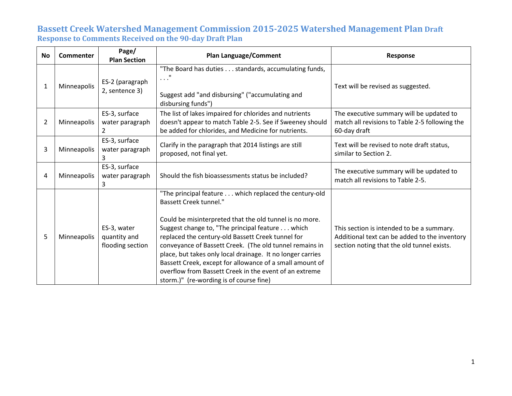| No             | <b>Commenter</b> | Page/<br><b>Plan Section</b>                    | <b>Plan Language/Comment</b>                                                                                                                                                                                                                                                                                                                                                                                                                                                                                                                        | <b>Response</b>                                                                                                                          |
|----------------|------------------|-------------------------------------------------|-----------------------------------------------------------------------------------------------------------------------------------------------------------------------------------------------------------------------------------------------------------------------------------------------------------------------------------------------------------------------------------------------------------------------------------------------------------------------------------------------------------------------------------------------------|------------------------------------------------------------------------------------------------------------------------------------------|
| 1              | Minneapolis      | ES-2 (paragraph<br>2, sentence 3)               | "The Board has duties standards, accumulating funds,<br>$\ldots$ "<br>Suggest add "and disbursing" ("accumulating and<br>disbursing funds")                                                                                                                                                                                                                                                                                                                                                                                                         | Text will be revised as suggested.                                                                                                       |
| $\overline{2}$ | Minneapolis      | ES-3, surface<br>water paragraph<br>2           | The list of lakes impaired for chlorides and nutrients<br>doesn't appear to match Table 2-5. See if Sweeney should<br>be added for chlorides, and Medicine for nutrients.                                                                                                                                                                                                                                                                                                                                                                           | The executive summary will be updated to<br>match all revisions to Table 2-5 following the<br>60-day draft                               |
| 3              | Minneapolis      | ES-3, surface<br>water paragraph                | Clarify in the paragraph that 2014 listings are still<br>proposed, not final yet.                                                                                                                                                                                                                                                                                                                                                                                                                                                                   | Text will be revised to note draft status,<br>similar to Section 2.                                                                      |
| 4              | Minneapolis      | ES-3, surface<br>water paragraph<br>3           | Should the fish bioassessments status be included?                                                                                                                                                                                                                                                                                                                                                                                                                                                                                                  | The executive summary will be updated to<br>match all revisions to Table 2-5.                                                            |
| 5              | Minneapolis      | ES-3, water<br>quantity and<br>flooding section | "The principal feature which replaced the century-old<br><b>Bassett Creek tunnel."</b><br>Could be misinterpreted that the old tunnel is no more.<br>Suggest change to, "The principal feature which<br>replaced the century-old Bassett Creek tunnel for<br>conveyance of Bassett Creek. (The old tunnel remains in<br>place, but takes only local drainage. It no longer carries<br>Bassett Creek, except for allowance of a small amount of<br>overflow from Bassett Creek in the event of an extreme<br>storm.)" (re-wording is of course fine) | This section is intended to be a summary.<br>Additional text can be added to the inventory<br>section noting that the old tunnel exists. |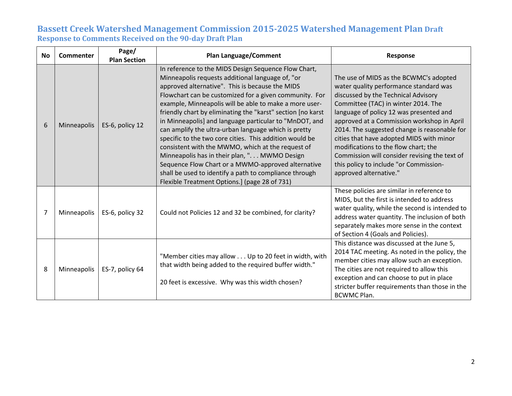| <b>No</b> | Commenter   | Page/<br><b>Plan Section</b> | <b>Plan Language/Comment</b>                                                                                                                                                                                                                                                                                                                                                                                                                                                                                                                                                                                                                                                                                                                                                                       | Response                                                                                                                                                                                                                                                                                                                                                                                                                                                                                                         |
|-----------|-------------|------------------------------|----------------------------------------------------------------------------------------------------------------------------------------------------------------------------------------------------------------------------------------------------------------------------------------------------------------------------------------------------------------------------------------------------------------------------------------------------------------------------------------------------------------------------------------------------------------------------------------------------------------------------------------------------------------------------------------------------------------------------------------------------------------------------------------------------|------------------------------------------------------------------------------------------------------------------------------------------------------------------------------------------------------------------------------------------------------------------------------------------------------------------------------------------------------------------------------------------------------------------------------------------------------------------------------------------------------------------|
| 6         | Minneapolis | ES-6, policy 12              | In reference to the MIDS Design Sequence Flow Chart,<br>Minneapolis requests additional language of, "or<br>approved alternative". This is because the MIDS<br>Flowchart can be customized for a given community. For<br>example, Minneapolis will be able to make a more user-<br>friendly chart by eliminating the "karst" section [no karst<br>in Minneapolis] and language particular to "MnDOT, and<br>can amplify the ultra-urban language which is pretty<br>specific to the two core cities. This addition would be<br>consistent with the MWMO, which at the request of<br>Minneapolis has in their plan, ". MWMO Design<br>Sequence Flow Chart or a MWMO-approved alternative<br>shall be used to identify a path to compliance through<br>Flexible Treatment Options.] (page 28 of 731) | The use of MIDS as the BCWMC's adopted<br>water quality performance standard was<br>discussed by the Technical Advisory<br>Committee (TAC) in winter 2014. The<br>language of policy 12 was presented and<br>approved at a Commission workshop in April<br>2014. The suggested change is reasonable for<br>cities that have adopted MIDS with minor<br>modifications to the flow chart; the<br>Commission will consider revising the text of<br>this policy to include "or Commission-<br>approved alternative." |
| 7         | Minneapolis | ES-6, policy 32              | Could not Policies 12 and 32 be combined, for clarity?                                                                                                                                                                                                                                                                                                                                                                                                                                                                                                                                                                                                                                                                                                                                             | These policies are similar in reference to<br>MIDS, but the first is intended to address<br>water quality, while the second is intended to<br>address water quantity. The inclusion of both<br>separately makes more sense in the context<br>of Section 4 (Goals and Policies).                                                                                                                                                                                                                                  |
| 8         | Minneapolis | ES-7, policy 64              | "Member cities may allow Up to 20 feet in width, with<br>that width being added to the required buffer width."<br>20 feet is excessive. Why was this width chosen?                                                                                                                                                                                                                                                                                                                                                                                                                                                                                                                                                                                                                                 | This distance was discussed at the June 5,<br>2014 TAC meeting. As noted in the policy, the<br>member cities may allow such an exception.<br>The cities are not required to allow this<br>exception and can choose to put in place<br>stricter buffer requirements than those in the<br><b>BCWMC Plan.</b>                                                                                                                                                                                                       |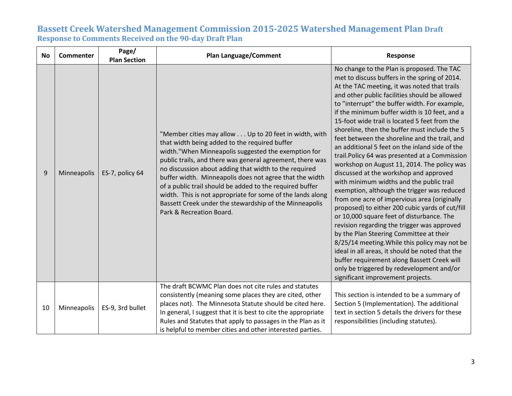| <b>No</b> | Commenter   | Page/<br><b>Plan Section</b> | <b>Plan Language/Comment</b>                                                                                                                                                                                                                                                                                                                                                                                                                                                                                                                                   | <b>Response</b>                                                                                                                                                                                                                                                                                                                                                                                                                                                                                                                                                                                                                                                                                                                                                                                                                                                                                                                                                                                                                                                                                                                                                                                                          |
|-----------|-------------|------------------------------|----------------------------------------------------------------------------------------------------------------------------------------------------------------------------------------------------------------------------------------------------------------------------------------------------------------------------------------------------------------------------------------------------------------------------------------------------------------------------------------------------------------------------------------------------------------|--------------------------------------------------------------------------------------------------------------------------------------------------------------------------------------------------------------------------------------------------------------------------------------------------------------------------------------------------------------------------------------------------------------------------------------------------------------------------------------------------------------------------------------------------------------------------------------------------------------------------------------------------------------------------------------------------------------------------------------------------------------------------------------------------------------------------------------------------------------------------------------------------------------------------------------------------------------------------------------------------------------------------------------------------------------------------------------------------------------------------------------------------------------------------------------------------------------------------|
| 9         | Minneapolis | ES-7, policy 64              | "Member cities may allow Up to 20 feet in width, with<br>that width being added to the required buffer<br>width."When Minneapolis suggested the exemption for<br>public trails, and there was general agreement, there was<br>no discussion about adding that width to the required<br>buffer width. Minneapolis does not agree that the width<br>of a public trail should be added to the required buffer<br>width. This is not appropriate for some of the lands along<br>Bassett Creek under the stewardship of the Minneapolis<br>Park & Recreation Board. | No change to the Plan is proposed. The TAC<br>met to discuss buffers in the spring of 2014.<br>At the TAC meeting, it was noted that trails<br>and other public facilities should be allowed<br>to "interrupt" the buffer width. For example,<br>if the minimum buffer width is 10 feet, and a<br>15-foot wide trail is located 5 feet from the<br>shoreline, then the buffer must include the 5<br>feet between the shoreline and the trail, and<br>an additional 5 feet on the inland side of the<br>trail. Policy 64 was presented at a Commission<br>workshop on August 11, 2014. The policy was<br>discussed at the workshop and approved<br>with minimum widths and the public trail<br>exemption, although the trigger was reduced<br>from one acre of impervious area (originally<br>proposed) to either 200 cubic yards of cut/fill<br>or 10,000 square feet of disturbance. The<br>revision regarding the trigger was approved<br>by the Plan Steering Committee at their<br>8/25/14 meeting. While this policy may not be<br>ideal in all areas, it should be noted that the<br>buffer requirement along Bassett Creek will<br>only be triggered by redevelopment and/or<br>significant improvement projects. |
| 10        | Minneapolis | ES-9, 3rd bullet             | The draft BCWMC Plan does not cite rules and statutes<br>consistently (meaning some places they are cited, other<br>places not). The Minnesota Statute should be cited here.<br>In general, I suggest that it is best to cite the appropriate<br>Rules and Statutes that apply to passages in the Plan as it<br>is helpful to member cities and other interested parties.                                                                                                                                                                                      | This section is intended to be a summary of<br>Section 5 (Implementation). The additional<br>text in section 5 details the drivers for these<br>responsibilities (including statutes).                                                                                                                                                                                                                                                                                                                                                                                                                                                                                                                                                                                                                                                                                                                                                                                                                                                                                                                                                                                                                                   |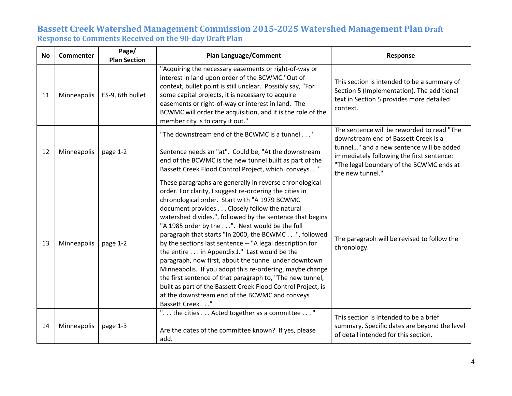| <b>No</b> | <b>Commenter</b> | Page/<br><b>Plan Section</b> | <b>Plan Language/Comment</b>                                                                                                                                                                                                                                                                                                                                                                                                                                                                                                                                                                                                                                                                                                                                                                                                  | Response                                                                                                                                                                                                                                    |
|-----------|------------------|------------------------------|-------------------------------------------------------------------------------------------------------------------------------------------------------------------------------------------------------------------------------------------------------------------------------------------------------------------------------------------------------------------------------------------------------------------------------------------------------------------------------------------------------------------------------------------------------------------------------------------------------------------------------------------------------------------------------------------------------------------------------------------------------------------------------------------------------------------------------|---------------------------------------------------------------------------------------------------------------------------------------------------------------------------------------------------------------------------------------------|
| 11        | Minneapolis      | ES-9, 6th bullet             | "Acquiring the necessary easements or right-of-way or<br>interest in land upon order of the BCWMC."Out of<br>context, bullet point is still unclear. Possibly say, "For<br>some capital projects, it is necessary to acquire<br>easements or right-of-way or interest in land. The<br>BCWMC will order the acquisition, and it is the role of the<br>member city is to carry it out."                                                                                                                                                                                                                                                                                                                                                                                                                                         | This section is intended to be a summary of<br>Section 5 (Implementation). The additional<br>text in Section 5 provides more detailed<br>context.                                                                                           |
| 12        | Minneapolis      | page 1-2                     | "The downstream end of the BCWMC is a tunnel"<br>Sentence needs an "at". Could be, "At the downstream<br>end of the BCWMC is the new tunnel built as part of the<br>Bassett Creek Flood Control Project, which conveys."                                                                                                                                                                                                                                                                                                                                                                                                                                                                                                                                                                                                      | The sentence will be reworded to read "The<br>downstream end of Bassett Creek is a<br>tunnel" and a new sentence will be added<br>immediately following the first sentence:<br>"The legal boundary of the BCWMC ends at<br>the new tunnel." |
| 13        | Minneapolis      | page 1-2                     | These paragraphs are generally in reverse chronological<br>order. For clarity, I suggest re-ordering the cities in<br>chronological order. Start with "A 1979 BCWMC<br>document provides Closely follow the natural<br>watershed divides.", followed by the sentence that begins<br>"A 1985 order by the". Next would be the full<br>paragraph that starts "In 2000, the BCWMC", followed<br>by the sections last sentence -- "A legal description for<br>the entire in Appendix J." Last would be the<br>paragraph, now first, about the tunnel under downtown<br>Minneapolis. If you adopt this re-ordering, maybe change<br>the first sentence of that paragraph to, "The new tunnel,<br>built as part of the Bassett Creek Flood Control Project, is<br>at the downstream end of the BCWMC and conveys<br>Bassett Creek " | The paragraph will be revised to follow the<br>chronology.                                                                                                                                                                                  |
| 14        | Minneapolis      | page 1-3                     | "the cities  Acted together as a committee "<br>Are the dates of the committee known? If yes, please<br>add.                                                                                                                                                                                                                                                                                                                                                                                                                                                                                                                                                                                                                                                                                                                  | This section is intended to be a brief<br>summary. Specific dates are beyond the level<br>of detail intended for this section.                                                                                                              |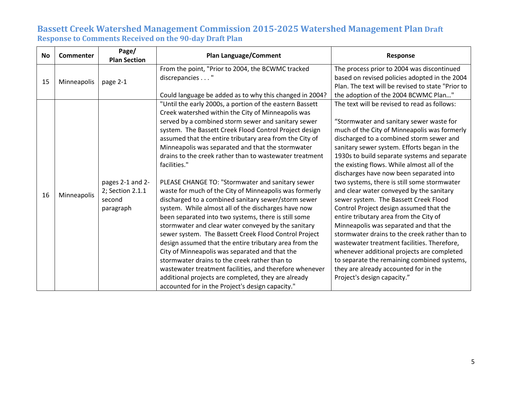| <b>No</b> | Commenter   | Page/<br><b>Plan Section</b>                                | <b>Plan Language/Comment</b>                                                                                                                                                                                                                                                                                                                                                                                                                                                                                                                                                                                                                                                                                                                                                                                                                                                                                                                                                                                                                                                                                                                                      | Response                                                                                                                                                                                                                                                                                                                                                                                                                                                                                                                                                                                                                                                                                                                                                                                                                                                                                                              |
|-----------|-------------|-------------------------------------------------------------|-------------------------------------------------------------------------------------------------------------------------------------------------------------------------------------------------------------------------------------------------------------------------------------------------------------------------------------------------------------------------------------------------------------------------------------------------------------------------------------------------------------------------------------------------------------------------------------------------------------------------------------------------------------------------------------------------------------------------------------------------------------------------------------------------------------------------------------------------------------------------------------------------------------------------------------------------------------------------------------------------------------------------------------------------------------------------------------------------------------------------------------------------------------------|-----------------------------------------------------------------------------------------------------------------------------------------------------------------------------------------------------------------------------------------------------------------------------------------------------------------------------------------------------------------------------------------------------------------------------------------------------------------------------------------------------------------------------------------------------------------------------------------------------------------------------------------------------------------------------------------------------------------------------------------------------------------------------------------------------------------------------------------------------------------------------------------------------------------------|
| 15        | Minneapolis | page 2-1                                                    | From the point, "Prior to 2004, the BCWMC tracked<br>discrepancies "<br>Could language be added as to why this changed in 2004?                                                                                                                                                                                                                                                                                                                                                                                                                                                                                                                                                                                                                                                                                                                                                                                                                                                                                                                                                                                                                                   | The process prior to 2004 was discontinued<br>based on revised policies adopted in the 2004<br>Plan. The text will be revised to state "Prior to<br>the adoption of the 2004 BCWMC Plan"                                                                                                                                                                                                                                                                                                                                                                                                                                                                                                                                                                                                                                                                                                                              |
| 16        | Minneapolis | pages 2-1 and 2-<br>2; Section 2.1.1<br>second<br>paragraph | "Until the early 2000s, a portion of the eastern Bassett<br>Creek watershed within the City of Minneapolis was<br>served by a combined storm sewer and sanitary sewer<br>system. The Bassett Creek Flood Control Project design<br>assumed that the entire tributary area from the City of<br>Minneapolis was separated and that the stormwater<br>drains to the creek rather than to wastewater treatment<br>facilities."<br>PLEASE CHANGE TO: "Stormwater and sanitary sewer<br>waste for much of the City of Minneapolis was formerly<br>discharged to a combined sanitary sewer/storm sewer<br>system. While almost all of the discharges have now<br>been separated into two systems, there is still some<br>stormwater and clear water conveyed by the sanitary<br>sewer system. The Bassett Creek Flood Control Project<br>design assumed that the entire tributary area from the<br>City of Minneapolis was separated and that the<br>stormwater drains to the creek rather than to<br>wastewater treatment facilities, and therefore whenever<br>additional projects are completed, they are already<br>accounted for in the Project's design capacity." | The text will be revised to read as follows:<br>"Stormwater and sanitary sewer waste for<br>much of the City of Minneapolis was formerly<br>discharged to a combined storm sewer and<br>sanitary sewer system. Efforts began in the<br>1930s to build separate systems and separate<br>the existing flows. While almost all of the<br>discharges have now been separated into<br>two systems, there is still some stormwater<br>and clear water conveyed by the sanitary<br>sewer system. The Bassett Creek Flood<br>Control Project design assumed that the<br>entire tributary area from the City of<br>Minneapolis was separated and that the<br>stormwater drains to the creek rather than to<br>wastewater treatment facilities. Therefore,<br>whenever additional projects are completed<br>to separate the remaining combined systems,<br>they are already accounted for in the<br>Project's design capacity." |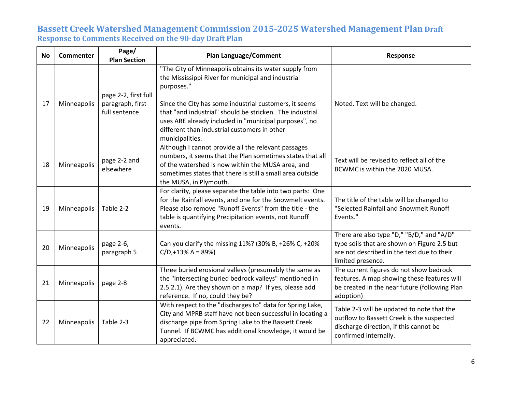| <b>No</b> | <b>Commenter</b> | Page/<br><b>Plan Section</b>                              | <b>Plan Language/Comment</b>                                                                                                                                                                                                                                                                                                                                                 | Response                                                                                                                                                    |
|-----------|------------------|-----------------------------------------------------------|------------------------------------------------------------------------------------------------------------------------------------------------------------------------------------------------------------------------------------------------------------------------------------------------------------------------------------------------------------------------------|-------------------------------------------------------------------------------------------------------------------------------------------------------------|
| 17        | Minneapolis      | page 2-2, first full<br>paragraph, first<br>full sentence | "The City of Minneapolis obtains its water supply from<br>the Mississippi River for municipal and industrial<br>purposes."<br>Since the City has some industrial customers, it seems<br>that "and industrial" should be stricken. The industrial<br>uses ARE already included in "municipal purposes", no<br>different than industrial customers in other<br>municipalities. | Noted. Text will be changed.                                                                                                                                |
| 18        | Minneapolis      | page 2-2 and<br>elsewhere                                 | Although I cannot provide all the relevant passages<br>numbers, it seems that the Plan sometimes states that all<br>of the watershed is now within the MUSA area, and<br>sometimes states that there is still a small area outside<br>the MUSA, in Plymouth.                                                                                                                 | Text will be revised to reflect all of the<br>BCWMC is within the 2020 MUSA.                                                                                |
| 19        | Minneapolis      | Table 2-2                                                 | For clarity, please separate the table into two parts: One<br>for the Rainfall events, and one for the Snowmelt events.<br>Please also remove "Runoff Events" from the title - the<br>table is quantifying Precipitation events, not Runoff<br>events.                                                                                                                       | The title of the table will be changed to<br>"Selected Rainfall and Snowmelt Runoff<br>Events."                                                             |
| 20        | Minneapolis      | page 2-6,<br>paragraph 5                                  | Can you clarify the missing 11%? (30% B, +26% C, +20%<br>$C/D + 13% A = 89%$                                                                                                                                                                                                                                                                                                 | There are also type "D," "B/D," and "A/D"<br>type soils that are shown on Figure 2.5 but<br>are not described in the text due to their<br>limited presence. |
| 21        | Minneapolis      | page 2-8                                                  | Three buried erosional valleys (presumably the same as<br>the "intersecting buried bedrock valleys" mentioned in<br>2.5.2.1). Are they shown on a map? If yes, please add<br>reference. If no, could they be?                                                                                                                                                                | The current figures do not show bedrock<br>features. A map showing these features will<br>be created in the near future (following Plan<br>adoption)        |
| 22        | Minneapolis      | Table 2-3                                                 | With respect to the "discharges to" data for Spring Lake,<br>City and MPRB staff have not been successful in locating a<br>discharge pipe from Spring Lake to the Bassett Creek<br>Tunnel. If BCWMC has additional knowledge, it would be<br>appreciated.                                                                                                                    | Table 2-3 will be updated to note that the<br>outflow to Bassett Creek is the suspected<br>discharge direction, if this cannot be<br>confirmed internally.  |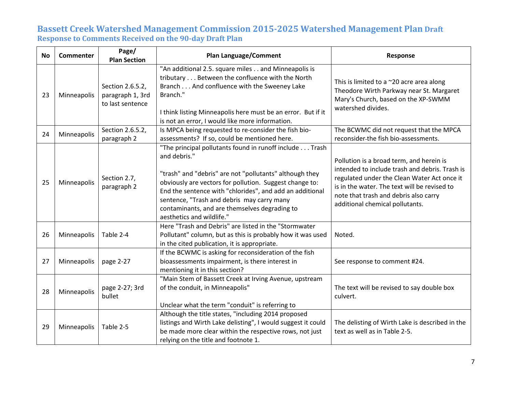| <b>No</b> | <b>Commenter</b> | Page/<br><b>Plan Section</b>                             | <b>Plan Language/Comment</b>                                                                                                                                                                                                                                                                                                                                                          | Response                                                                                                                                                                                                                                                              |
|-----------|------------------|----------------------------------------------------------|---------------------------------------------------------------------------------------------------------------------------------------------------------------------------------------------------------------------------------------------------------------------------------------------------------------------------------------------------------------------------------------|-----------------------------------------------------------------------------------------------------------------------------------------------------------------------------------------------------------------------------------------------------------------------|
| 23        | Minneapolis      | Section 2.6.5.2,<br>paragraph 1, 3rd<br>to last sentence | "An additional 2.5. square miles and Minneapolis is<br>tributary Between the confluence with the North<br>Branch And confluence with the Sweeney Lake<br>Branch."<br>I think listing Minneapolis here must be an error. But if it<br>is not an error, I would like more information.                                                                                                  | This is limited to a $\sim$ 20 acre area along<br>Theodore Wirth Parkway near St. Margaret<br>Mary's Church, based on the XP-SWMM<br>watershed divides.                                                                                                               |
| 24        | Minneapolis      | Section 2.6.5.2,<br>paragraph 2                          | Is MPCA being requested to re-consider the fish bio-<br>assessments? If so, could be mentioned here.                                                                                                                                                                                                                                                                                  | The BCWMC did not request that the MPCA<br>reconsider-the fish bio-assessments.                                                                                                                                                                                       |
| 25        | Minneapolis      | Section 2.7,<br>paragraph 2                              | "The principal pollutants found in runoff include Trash<br>and debris."<br>"trash" and "debris" are not "pollutants" although they<br>obviously are vectors for pollution. Suggest change to:<br>End the sentence with "chlorides", and add an additional<br>sentence, "Trash and debris may carry many<br>contaminants, and are themselves degrading to<br>aesthetics and wildlife." | Pollution is a broad term, and herein is<br>intended to include trash and debris. Trash is<br>regulated under the Clean Water Act once it<br>is in the water. The text will be revised to<br>note that trash and debris also carry<br>additional chemical pollutants. |
| 26        | Minneapolis      | Table 2-4                                                | Here "Trash and Debris" are listed in the "Stormwater<br>Pollutant" column, but as this is probably how it was used<br>in the cited publication, it is appropriate.                                                                                                                                                                                                                   | Noted.                                                                                                                                                                                                                                                                |
| 27        | Minneapolis      | page 2-27                                                | If the BCWMC is asking for reconsideration of the fish<br>bioassessments impairment, is there interest in<br>mentioning it in this section?                                                                                                                                                                                                                                           | See response to comment #24.                                                                                                                                                                                                                                          |
| 28        | Minneapolis      | page 2-27; 3rd<br>bullet                                 | "Main Stem of Bassett Creek at Irving Avenue, upstream<br>of the conduit, in Minneapolis"<br>Unclear what the term "conduit" is referring to                                                                                                                                                                                                                                          | The text will be revised to say double box<br>culvert.                                                                                                                                                                                                                |
| 29        | Minneapolis      | Table 2-5                                                | Although the title states, "including 2014 proposed<br>listings and Wirth Lake delisting", I would suggest it could<br>be made more clear within the respective rows, not just<br>relying on the title and footnote 1.                                                                                                                                                                | The delisting of Wirth Lake is described in the<br>text as well as in Table 2-5.                                                                                                                                                                                      |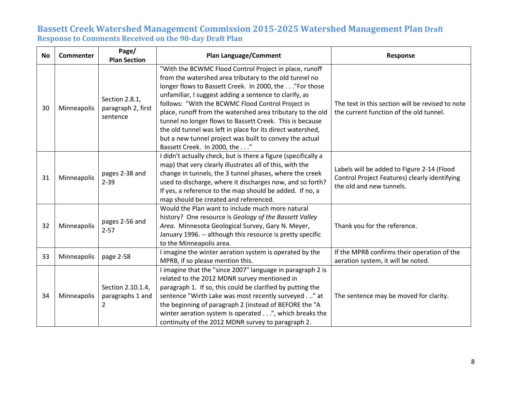| <b>No</b> | <b>Commenter</b> | Page/<br><b>Plan Section</b>                     | <b>Plan Language/Comment</b>                                                                                                                                                                                                                                                                                                                                                                                                                                                                                                                                                 | Response                                                                                                                |
|-----------|------------------|--------------------------------------------------|------------------------------------------------------------------------------------------------------------------------------------------------------------------------------------------------------------------------------------------------------------------------------------------------------------------------------------------------------------------------------------------------------------------------------------------------------------------------------------------------------------------------------------------------------------------------------|-------------------------------------------------------------------------------------------------------------------------|
| 30        | Minneapolis      | Section 2.8.1,<br>paragraph 2, first<br>sentence | "With the BCWMC Flood Control Project in place, runoff<br>from the watershed area tributary to the old tunnel no<br>longer flows to Bassett Creek. In 2000, the "For those<br>unfamiliar, I suggest adding a sentence to clarify, as<br>follows: "With the BCWMC Flood Control Project in<br>place, runoff from the watershed area tributary to the old<br>tunnel no longer flows to Bassett Creek. This is because<br>the old tunnel was left in place for its direct watershed,<br>but a new tunnel project was built to convey the actual<br>Bassett Creek. In 2000, the" | The text in this section will be revised to note<br>the current function of the old tunnel.                             |
| 31        | Minneapolis      | pages 2-38 and<br>$2 - 39$                       | I didn't actually check, but is there a figure (specifically a<br>map) that very clearly illustrates all of this, with the<br>change in tunnels, the 3 tunnel phases, where the creek<br>used to discharge, where it discharges now, and so forth?<br>If yes, a reference to the map should be added. If no, a<br>map should be created and referenced.                                                                                                                                                                                                                      | Labels will be added to Figure 2-14 (Flood<br>Control Project Features) clearly identifying<br>the old and new tunnels. |
| 32        | Minneapolis      | pages 2-56 and<br>$2 - 57$                       | Would the Plan want to include much more natural<br>history? One resource is Geology of the Bassett Valley<br>Area. Minnesota Geological Survey, Gary N. Meyer,<br>January 1996. -- although this resource is pretty specific<br>to the Minneapolis area.                                                                                                                                                                                                                                                                                                                    | Thank you for the reference.                                                                                            |
| 33        | Minneapolis      | page 2-58                                        | I imagine the winter aeration system is operated by the<br>MPRB, if so please mention this.                                                                                                                                                                                                                                                                                                                                                                                                                                                                                  | If the MPRB confirms their operation of the<br>aeration system, it will be noted.                                       |
| 34        | Minneapolis      | Section 2.10.1.4,<br>paragraphs 1 and<br>2       | I imagine that the "since 2007" language in paragraph 2 is<br>related to the 2012 MDNR survey mentioned in<br>paragraph 1. If so, this could be clarified by putting the<br>sentence "Wirth Lake was most recently surveyed." at<br>the beginning of paragraph 2 (instead of BEFORE the "A<br>winter aeration system is operated", which breaks the<br>continuity of the 2012 MDNR survey to paragraph 2.                                                                                                                                                                    | The sentence may be moved for clarity.                                                                                  |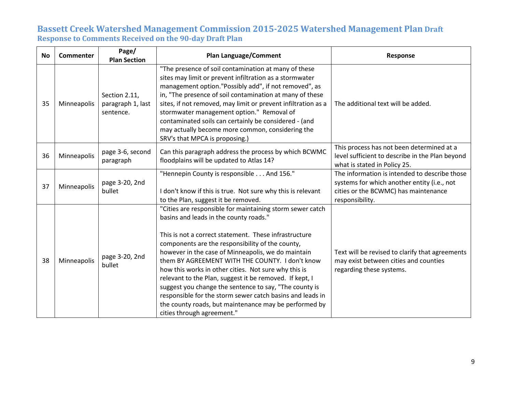| <b>No</b> | <b>Commenter</b> | Page/<br><b>Plan Section</b>                    | <b>Plan Language/Comment</b>                                                                                                                                                                                                                                                                                                                                                                                                                                                                                                                                                                                                                               | Response                                                                                                                                                |
|-----------|------------------|-------------------------------------------------|------------------------------------------------------------------------------------------------------------------------------------------------------------------------------------------------------------------------------------------------------------------------------------------------------------------------------------------------------------------------------------------------------------------------------------------------------------------------------------------------------------------------------------------------------------------------------------------------------------------------------------------------------------|---------------------------------------------------------------------------------------------------------------------------------------------------------|
| 35        | Minneapolis      | Section 2.11,<br>paragraph 1, last<br>sentence. | "The presence of soil contamination at many of these<br>sites may limit or prevent infiltration as a stormwater<br>management option."Possibly add", if not removed", as<br>in, "The presence of soil contamination at many of these<br>sites, if not removed, may limit or prevent infiltration as a<br>stormwater management option." Removal of<br>contaminated soils can certainly be considered - (and<br>may actually become more common, considering the<br>SRV's that MPCA is proposing.)                                                                                                                                                          | The additional text will be added.                                                                                                                      |
| 36        | Minneapolis      | page 3-6, second<br>paragraph                   | Can this paragraph address the process by which BCWMC<br>floodplains will be updated to Atlas 14?                                                                                                                                                                                                                                                                                                                                                                                                                                                                                                                                                          | This process has not been determined at a<br>level sufficient to describe in the Plan beyond<br>what is stated in Policy 25.                            |
| 37        | Minneapolis      | page 3-20, 2nd<br>bullet                        | "Hennepin County is responsible And 156."<br>I don't know if this is true. Not sure why this is relevant<br>to the Plan, suggest it be removed.                                                                                                                                                                                                                                                                                                                                                                                                                                                                                                            | The information is intended to describe those<br>systems for which another entity (i.e., not<br>cities or the BCWMC) has maintenance<br>responsibility. |
| 38        | Minneapolis      | page 3-20, 2nd<br>bullet                        | "Cities are responsible for maintaining storm sewer catch<br>basins and leads in the county roads."<br>This is not a correct statement. These infrastructure<br>components are the responsibility of the county,<br>however in the case of Minneapolis, we do maintain<br>them BY AGREEMENT WITH THE COUNTY. I don't know<br>how this works in other cities. Not sure why this is<br>relevant to the Plan, suggest it be removed. If kept, I<br>suggest you change the sentence to say, "The county is<br>responsible for the storm sewer catch basins and leads in<br>the county roads, but maintenance may be performed by<br>cities through agreement." | Text will be revised to clarify that agreements<br>may exist between cities and counties<br>regarding these systems.                                    |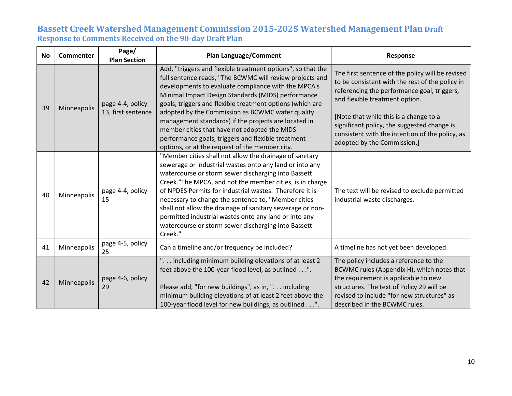| <b>No</b> | Commenter   | Page/<br><b>Plan Section</b>           | <b>Plan Language/Comment</b>                                                                                                                                                                                                                                                                                                                                                                                                                                                                                                                                          | Response                                                                                                                                                                                                                                                                                                                                                        |
|-----------|-------------|----------------------------------------|-----------------------------------------------------------------------------------------------------------------------------------------------------------------------------------------------------------------------------------------------------------------------------------------------------------------------------------------------------------------------------------------------------------------------------------------------------------------------------------------------------------------------------------------------------------------------|-----------------------------------------------------------------------------------------------------------------------------------------------------------------------------------------------------------------------------------------------------------------------------------------------------------------------------------------------------------------|
| 39        | Minneapolis | page 4-4, policy<br>13, first sentence | Add, "triggers and flexible treatment options", so that the<br>full sentence reads, "The BCWMC will review projects and<br>developments to evaluate compliance with the MPCA's<br>Minimal Impact Design Standards (MIDS) performance<br>goals, triggers and flexible treatment options (which are<br>adopted by the Commission as BCWMC water quality<br>management standards) if the projects are located in<br>member cities that have not adopted the MIDS<br>performance goals, triggers and flexible treatment<br>options, or at the request of the member city. | The first sentence of the policy will be revised<br>to be consistent with the rest of the policy in<br>referencing the performance goal, triggers,<br>and flexible treatment option.<br>[Note that while this is a change to a<br>significant policy, the suggested change is<br>consistent with the intention of the policy, as<br>adopted by the Commission.] |
| 40        | Minneapolis | page 4-4, policy<br>15                 | "Member cities shall not allow the drainage of sanitary<br>sewerage or industrial wastes onto any land or into any<br>watercourse or storm sewer discharging into Bassett<br>Creek. "The MPCA, and not the member cities, is in charge<br>of NPDES Permits for industrial wastes. Therefore it is<br>necessary to change the sentence to, "Member cities<br>shall not allow the drainage of sanitary sewerage or non-<br>permitted industrial wastes onto any land or into any<br>watercourse or storm sewer discharging into Bassett<br>Creek."                      | The text will be revised to exclude permitted<br>industrial waste discharges.                                                                                                                                                                                                                                                                                   |
| 41        | Minneapolis | page 4-5, policy<br>25                 | Can a timeline and/or frequency be included?                                                                                                                                                                                                                                                                                                                                                                                                                                                                                                                          | A timeline has not yet been developed.                                                                                                                                                                                                                                                                                                                          |
| 42        | Minneapolis | page 4-6, policy<br>29                 | " including minimum building elevations of at least 2<br>feet above the 100-year flood level, as outlined".<br>Please add, "for new buildings", as in, ". including<br>minimum building elevations of at least 2 feet above the<br>100-year flood level for new buildings, as outlined".                                                                                                                                                                                                                                                                              | The policy includes a reference to the<br>BCWMC rules (Appendix H), which notes that<br>the requirement is applicable to new<br>structures. The text of Policy 29 will be<br>revised to include "for new structures" as<br>described in the BCWMC rules.                                                                                                        |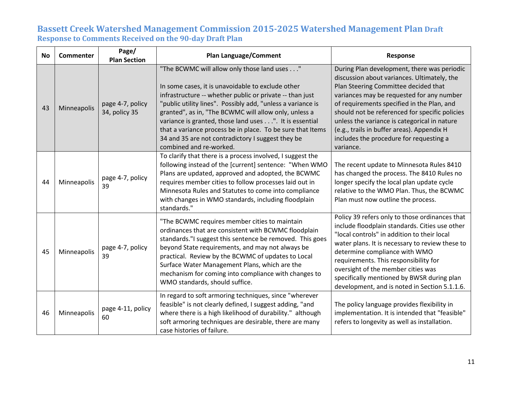| <b>No</b> | <b>Commenter</b> | Page/<br><b>Plan Section</b>      | <b>Plan Language/Comment</b>                                                                                                                                                                                                                                                                                                                                                                                                                                                                 | Response                                                                                                                                                                                                                                                                                                                                                                                                                              |
|-----------|------------------|-----------------------------------|----------------------------------------------------------------------------------------------------------------------------------------------------------------------------------------------------------------------------------------------------------------------------------------------------------------------------------------------------------------------------------------------------------------------------------------------------------------------------------------------|---------------------------------------------------------------------------------------------------------------------------------------------------------------------------------------------------------------------------------------------------------------------------------------------------------------------------------------------------------------------------------------------------------------------------------------|
| 43        | Minneapolis      | page 4-7, policy<br>34, policy 35 | "The BCWMC will allow only those land uses"<br>In some cases, it is unavoidable to exclude other<br>infrastructure -- whether public or private -- than just<br>"public utility lines". Possibly add, "unless a variance is<br>granted", as in, "The BCWMC will allow only, unless a<br>variance is granted, those land uses". It is essential<br>that a variance process be in place. To be sure that Items<br>34 and 35 are not contradictory I suggest they be<br>combined and re-worked. | During Plan development, there was periodic<br>discussion about variances. Ultimately, the<br>Plan Steering Committee decided that<br>variances may be requested for any number<br>of requirements specified in the Plan, and<br>should not be referenced for specific policies<br>unless the variance is categorical in nature<br>(e.g., trails in buffer areas). Appendix H<br>includes the procedure for requesting a<br>variance. |
| 44        | Minneapolis      | page 4-7, policy<br>39            | To clarify that there is a process involved, I suggest the<br>following instead of the [current] sentence: "When WMO<br>Plans are updated, approved and adopted, the BCWMC<br>requires member cities to follow processes laid out in<br>Minnesota Rules and Statutes to come into compliance<br>with changes in WMO standards, including floodplain<br>standards."                                                                                                                           | The recent update to Minnesota Rules 8410<br>has changed the process. The 8410 Rules no<br>longer specify the local plan update cycle<br>relative to the WMO Plan. Thus, the BCWMC<br>Plan must now outline the process.                                                                                                                                                                                                              |
| 45        | Minneapolis      | page 4-7, policy<br>39            | "The BCWMC requires member cities to maintain<br>ordinances that are consistent with BCWMC floodplain<br>standards."I suggest this sentence be removed. This goes<br>beyond State requirements, and may not always be<br>practical. Review by the BCWMC of updates to Local<br>Surface Water Management Plans, which are the<br>mechanism for coming into compliance with changes to<br>WMO standards, should suffice.                                                                       | Policy 39 refers only to those ordinances that<br>include floodplain standards. Cities use other<br>"local controls" in addition to their local<br>water plans. It is necessary to review these to<br>determine compliance with WMO<br>requirements. This responsibility for<br>oversight of the member cities was<br>specifically mentioned by BWSR during plan<br>development, and is noted in Section 5.1.1.6.                     |
| 46        | Minneapolis      | page 4-11, policy<br>60           | In regard to soft armoring techniques, since "wherever<br>feasible" is not clearly defined, I suggest adding, "and<br>where there is a high likelihood of durability." although<br>soft armoring techniques are desirable, there are many<br>case histories of failure.                                                                                                                                                                                                                      | The policy language provides flexibility in<br>implementation. It is intended that "feasible"<br>refers to longevity as well as installation.                                                                                                                                                                                                                                                                                         |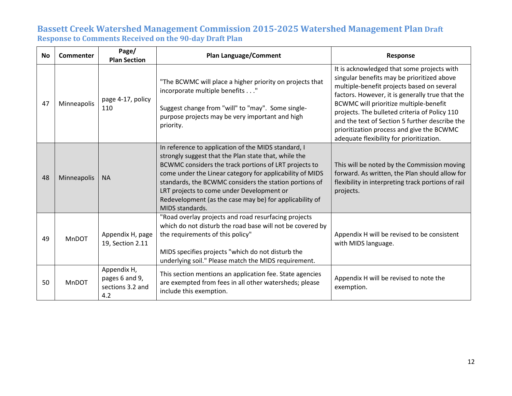| <b>No</b> | Commenter    | Page/<br><b>Plan Section</b>                             | <b>Plan Language/Comment</b>                                                                                                                                                                                                                                                                                                                                                                                                 | <b>Response</b>                                                                                                                                                                                                                                                                                                                                                                                                                 |
|-----------|--------------|----------------------------------------------------------|------------------------------------------------------------------------------------------------------------------------------------------------------------------------------------------------------------------------------------------------------------------------------------------------------------------------------------------------------------------------------------------------------------------------------|---------------------------------------------------------------------------------------------------------------------------------------------------------------------------------------------------------------------------------------------------------------------------------------------------------------------------------------------------------------------------------------------------------------------------------|
| 47        | Minneapolis  | page 4-17, policy<br>110                                 | "The BCWMC will place a higher priority on projects that<br>incorporate multiple benefits"<br>Suggest change from "will" to "may". Some single-<br>purpose projects may be very important and high<br>priority.                                                                                                                                                                                                              | It is acknowledged that some projects with<br>singular benefits may be prioritized above<br>multiple-benefit projects based on several<br>factors. However, it is generally true that the<br>BCWMC will prioritize multiple-benefit<br>projects. The bulleted criteria of Policy 110<br>and the text of Section 5 further describe the<br>prioritization process and give the BCWMC<br>adequate flexibility for prioritization. |
| 48        | Minneapolis  | <b>NA</b>                                                | In reference to application of the MIDS standard, I<br>strongly suggest that the Plan state that, while the<br>BCWMC considers the track portions of LRT projects to<br>come under the Linear category for applicability of MIDS<br>standards, the BCWMC considers the station portions of<br>LRT projects to come under Development or<br>Redevelopment (as the case may be) for applicability of<br><b>MIDS</b> standards. | This will be noted by the Commission moving<br>forward. As written, the Plan should allow for<br>flexibility in interpreting track portions of rail<br>projects.                                                                                                                                                                                                                                                                |
| 49        | MnDOT        | Appendix H, page<br>19, Section 2.11                     | "Road overlay projects and road resurfacing projects<br>which do not disturb the road base will not be covered by<br>the requirements of this policy"<br>MIDS specifies projects "which do not disturb the<br>underlying soil." Please match the MIDS requirement.                                                                                                                                                           | Appendix H will be revised to be consistent<br>with MIDS language.                                                                                                                                                                                                                                                                                                                                                              |
| 50        | <b>MnDOT</b> | Appendix H,<br>pages 6 and 9,<br>sections 3.2 and<br>4.2 | This section mentions an application fee. State agencies<br>are exempted from fees in all other watersheds; please<br>include this exemption.                                                                                                                                                                                                                                                                                | Appendix H will be revised to note the<br>exemption.                                                                                                                                                                                                                                                                                                                                                                            |